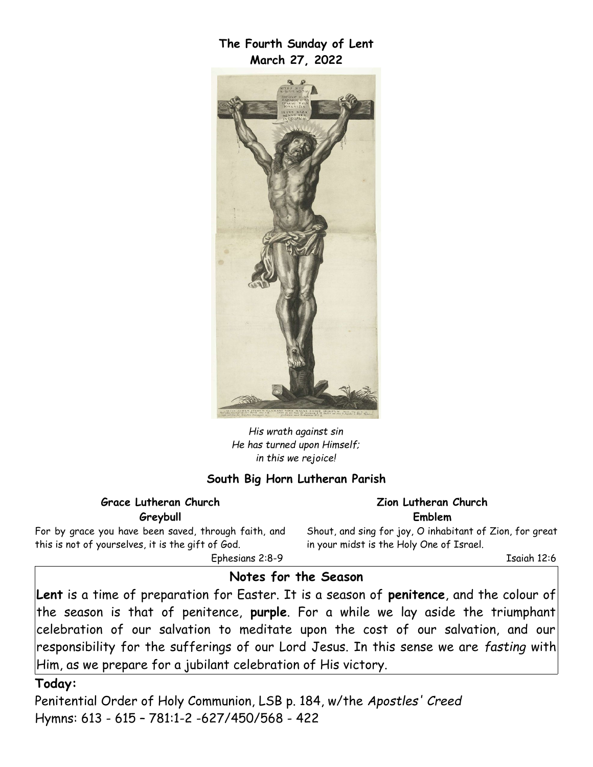**The Fourth Sunday of Lent March 27, 2022**



*His wrath against sin He has turned upon Himself; in this we rejoice!*

#### **South Big Horn Lutheran Parish**

#### **Grace Lutheran Church Greybull**

For by grace you have been saved, through faith, and this is not of yourselves, it is the gift of God.

Shout, and sing for joy, O inhabitant of Zion, for great in your midst is the Holy One of Israel.

**Zion Lutheran Church Emblem**

Ephesians 2:8-9

Isaiah 12:6

## **Notes for the Season**

**Lent** is a time of preparation for Easter. It is a season of **penitence**, and the colour of the season is that of penitence, **purple**. For a while we lay aside the triumphant celebration of our salvation to meditate upon the cost of our salvation, and our responsibility for the sufferings of our Lord Jesus. In this sense we are *fasting* with Him, as we prepare for a jubilant celebration of His victory.

**Today:**

Penitential Order of Holy Communion, LSB p. 184, w/the *Apostles' Creed* Hymns: 613 - 615 – 781:1-2 -627/450/568 - 422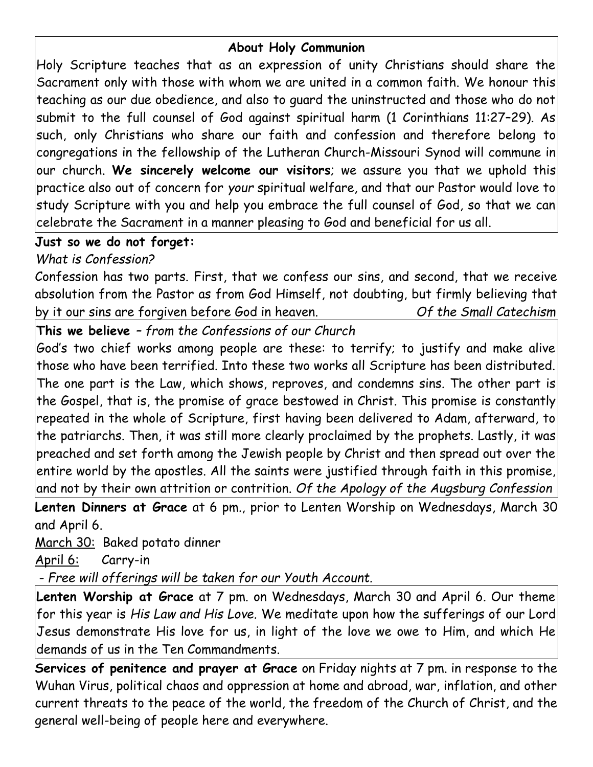## **About Holy Communion**

Holy Scripture teaches that as an expression of unity Christians should share the Sacrament only with those with whom we are united in a common faith. We honour this teaching as our due obedience, and also to guard the uninstructed and those who do not submit to the full counsel of God against spiritual harm (1 Corinthians 11:27–29). As such, only Christians who share our faith and confession and therefore belong to congregations in the fellowship of the Lutheran Church-Missouri Synod will commune in our church. **We sincerely welcome our visitors**; we assure you that we uphold this practice also out of concern for *your* spiritual welfare, and that our Pastor would love to study Scripture with you and help you embrace the full counsel of God, so that we can celebrate the Sacrament in a manner pleasing to God and beneficial for us all.

# **Just so we do not forget:**

# *What is Confession?*

Confession has two parts. First, that we confess our sins, and second, that we receive absolution from the Pastor as from God Himself, not doubting, but firmly believing that by it our sins are forgiven before God in heaven. *Of the Small Catechism*

**This we believe** *– from the Confessions of our Church*

God's two chief works among people are these: to terrify; to justify and make alive those who have been terrified. Into these two works all Scripture has been distributed. The one part is the Law, which shows, reproves, and condemns sins. The other part is the Gospel, that is, the promise of grace bestowed in Christ. This promise is constantly repeated in the whole of Scripture, first having been delivered to Adam, afterward, to the patriarchs. Then, it was still more clearly proclaimed by the prophets. Lastly, it was preached and set forth among the Jewish people by Christ and then spread out over the entire world by the apostles. All the saints were justified through faith in this promise, and not by their own attrition or contrition. *Of the Apology of the Augsburg Confession*

**Lenten Dinners at Grace** at 6 pm., prior to Lenten Worship on Wednesdays, March 30 and April 6.

March 30: Baked potato dinner

April 6: Carry-in

 *- Free will offerings will be taken for our Youth Account.*

**Lenten Worship at Grace** at 7 pm. on Wednesdays, March 30 and April 6. Our theme for this year is *His Law and His Love.* We meditate upon how the sufferings of our Lord Jesus demonstrate His love for us, in light of the love we owe to Him, and which He demands of us in the Ten Commandments.

**Services of penitence and prayer at Grace** on Friday nights at 7 pm. in response to the Wuhan Virus, political chaos and oppression at home and abroad, war, inflation, and other current threats to the peace of the world, the freedom of the Church of Christ, and the general well-being of people here and everywhere.